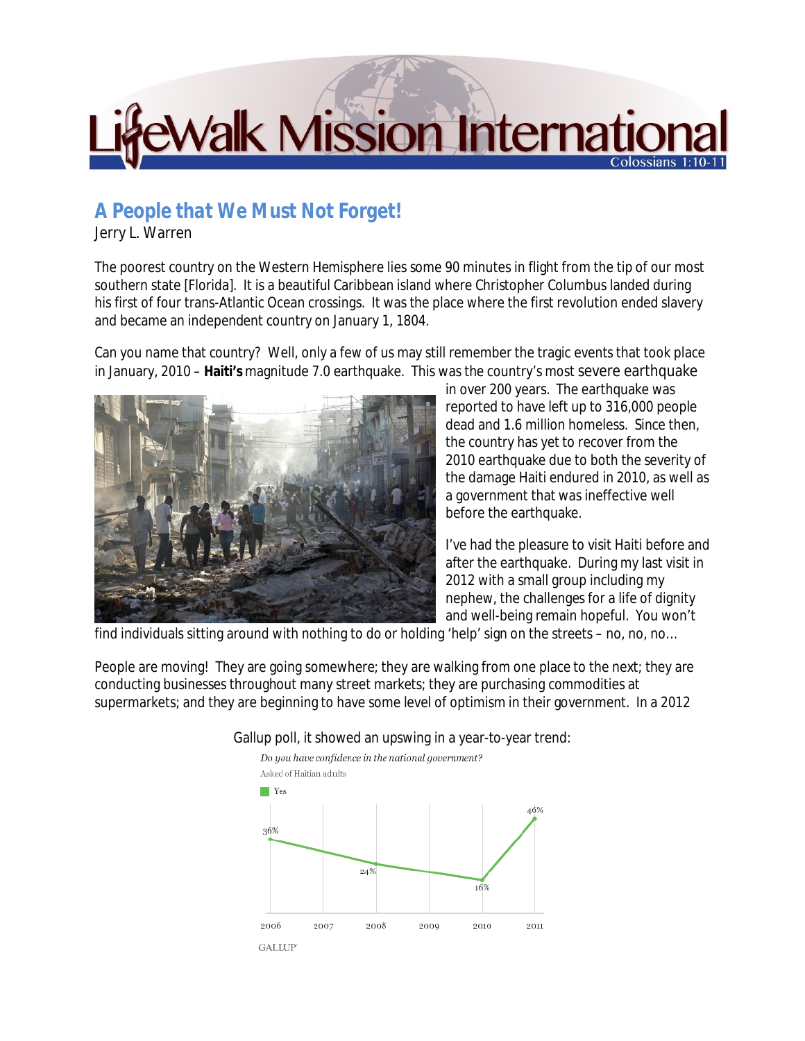## **EWalk Mission Internation** Colossians

## *A People that We Must Not Forget!*

## Jerry L. Warren

The poorest country on the Western Hemisphere lies some 90 minutes in flight from the tip of our most southern state [Florida]. It is a beautiful Caribbean island where Christopher Columbus landed during his first of four trans-Atlantic Ocean crossings. It was the place where the first revolution ended slavery and became an independent country on January 1, 1804.

Can you name that country? Well, only a few of us may still remember the tragic events that took place in January, 2010 – **Haiti's** magnitude 7.0 earthquake. This was the country's most severe earthquake



in over 200 years. The earthquake was reported to have left up to 316,000 people dead and 1.6 million homeless. Since then, the country has yet to recover from the 2010 earthquake due to both the severity of the damage Haiti endured in 2010, as well as a government that was ineffective well before the earthquake.

I've had the pleasure to visit Haiti before and after the earthquake. During my last visit in 2012 with a small group including my nephew, the challenges for a life of dignity and well-being remain hopeful. You won't

find individuals sitting around with nothing to do or holding 'help' sign on the streets – no, no, no…

People are moving! They are going somewhere; they are walking from one place to the next; they are conducting businesses throughout many street markets; they are purchasing commodities at supermarkets; and they are beginning to have some level of optimism in their government. In a 2012



## Gallup poll, it showed an upswing in a year-to-year trend: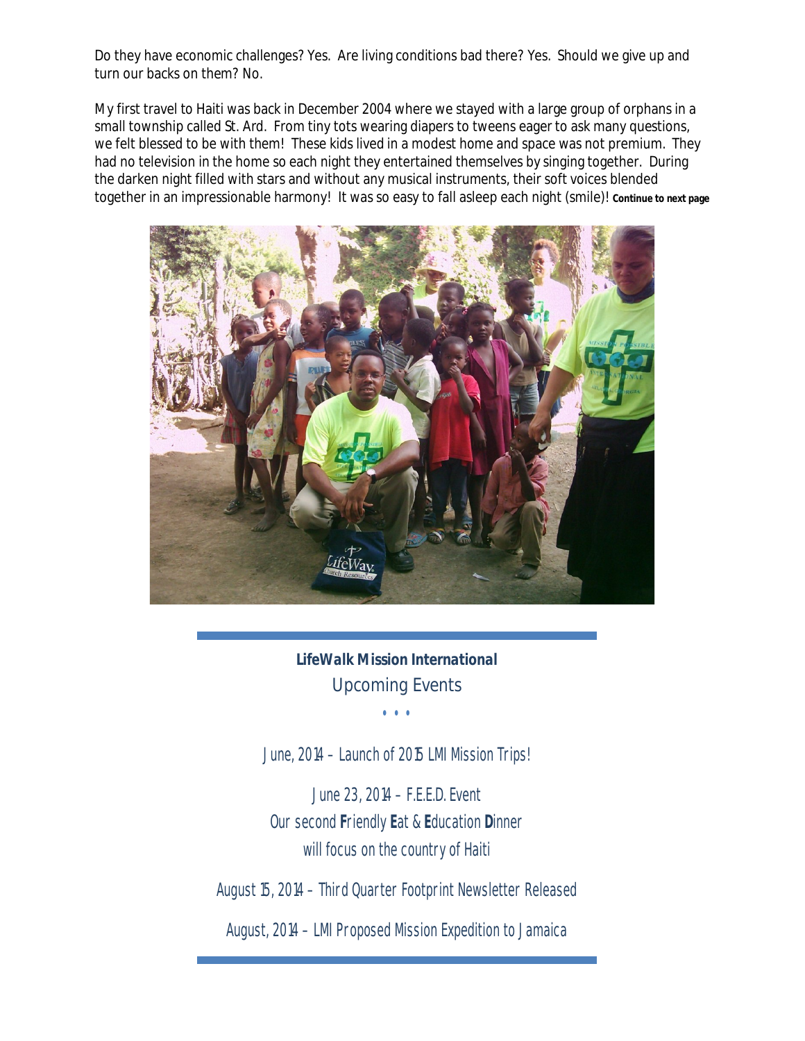Do they have economic challenges? Yes. Are living conditions bad there? Yes. Should we give up and turn our backs on them? No.

My first travel to Haiti was back in December 2004 where we stayed with a large group of orphans in a small township called St. Ard. From tiny tots wearing diapers to tweens eager to ask many questions, we felt blessed to be with them! These kids lived in a modest home and space was not premium. They had no television in the home so each night they entertained themselves by singing together. During the darken night filled with stars and without any musical instruments, their soft voices blended together in an impressionable harmony! It was so easy to fall asleep each night (smile)! **Continue to next page**



*LifeWalk Mission International Upcoming Events* 

• • •

June, 2014 – Launch of 2015 LMI Mission Trips!

June 23, 2014 – F.E.E.D. Event Our second **F**riendly **E**at & **E**ducation **D**inner will focus on the country of Haiti

August 15, 2014 – Third Quarter Footprint Newsletter Released

August, 2014 – LMI Proposed Mission Expedition to Jamaica